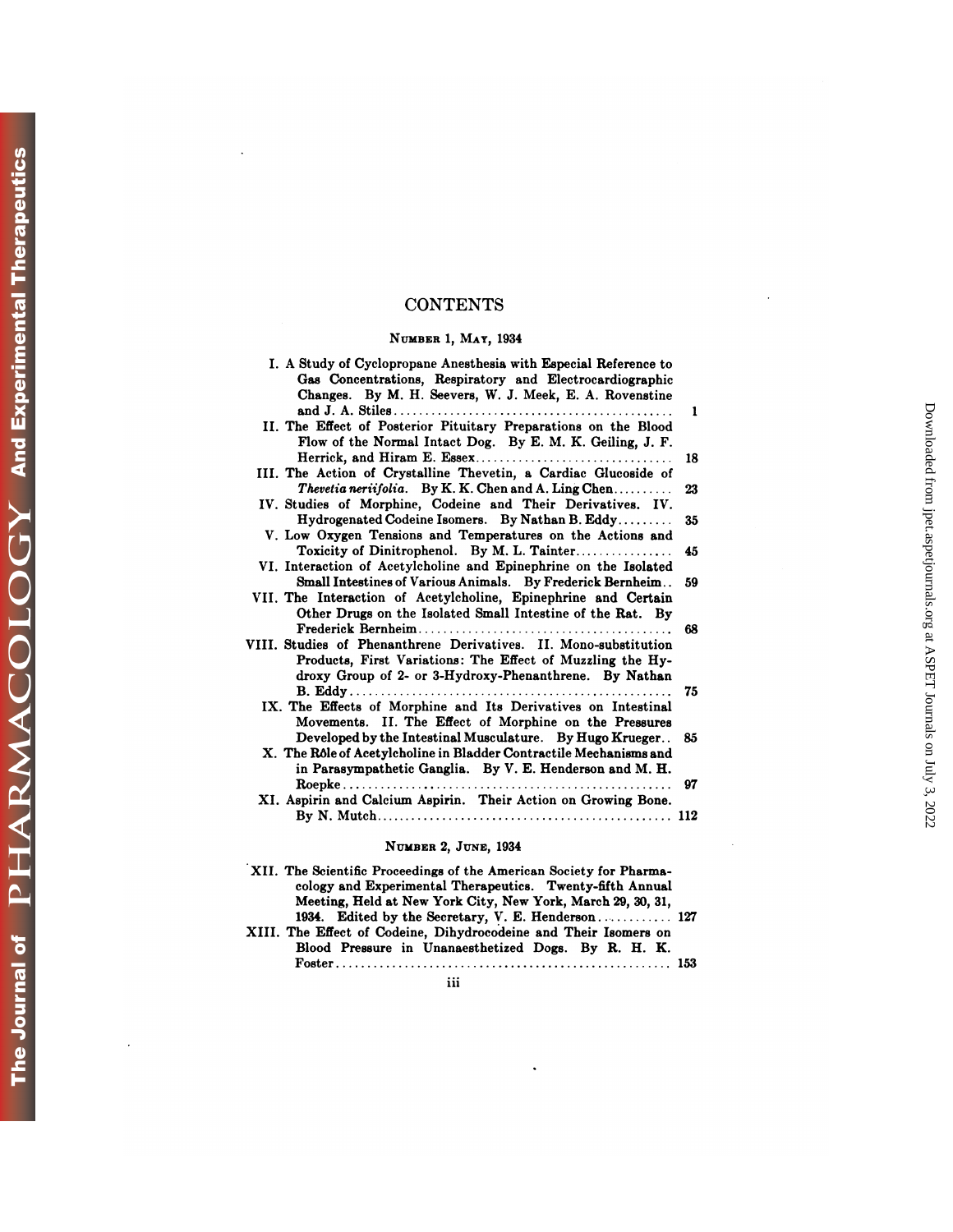## **CONTENTS**

## **NUMBER** 1, **MAT, 1934**

| <b>CONTENTS</b>                                                                                                                                                                            |          |
|--------------------------------------------------------------------------------------------------------------------------------------------------------------------------------------------|----------|
| NUMBER 1, MAY, 1934                                                                                                                                                                        |          |
| I. A Study of Cyclopropane Anesthesia with Especial Reference to<br>Gas Concentrations, Respiratory and Electrocardiographic<br>Changes. By M. H. Seevers, W. J. Meek, E. A. Rovenstine    | 1        |
| II. The Effect of Posterior Pituitary Preparations on the Blood<br>Flow of the Normal Intact Dog. By E. M. K. Geiling, J. F.                                                               |          |
| III. The Action of Crystalline Thevetin, a Cardiac Glucoside of<br><b>Thevetia neriifolia.</b> By K.K. Chen and A. Ling Chen                                                               | 18<br>23 |
| IV. Studies of Morphine, Codeine and Their Derivatives. IV.<br>Hydrogenated Codeine Isomers. By Nathan B. Eddy                                                                             | 35       |
| V. Low Oxygen Tensions and Temperatures on the Actions and                                                                                                                                 | 45       |
| VI. Interaction of Acetylcholine and Epinephrine on the Isolated<br>Small Intestines of Various Animals. By Frederick Bernheim                                                             | 59       |
| VII. The Interaction of Acetylcholine, Epinephrine and Certain<br>Other Drugs on the Isolated Small Intestine of the Rat. By                                                               |          |
| VIII. Studies of Phenanthrene Derivatives. II. Mono-substitution<br>Products, First Variations: The Effect of Muzzling the Hy-<br>droxy Group of 2- or 3-Hydroxy-Phenanthrene. By Nathan   | 68       |
| IX. The Effects of Morphine and Its Derivatives on Intestinal<br>Movements. II. The Effect of Morphine on the Pressures                                                                    | 75       |
| Developed by the Intestinal Musculature. By Hugo Krueger<br>X. The Rôle of Acetylcholine in Bladder Contractile Mechanisms and<br>in Parasympathetic Ganglia. By V. E. Henderson and M. H. | 85       |
| XI. Aspirin and Calcium Aspirin. Their Action on Growing Bone.                                                                                                                             | 97       |
|                                                                                                                                                                                            |          |
| NUMBER 2, JUNE, 1934<br>XII. The Scientific Proceedings of the American Society for Pharma-                                                                                                |          |

#### **NUMBER** 2, JUNE, 1934

| NUMBER 2, JUNE, 1934                                                                                                                                                                            |
|-------------------------------------------------------------------------------------------------------------------------------------------------------------------------------------------------|
| XII. The Scientific Proceedings of the American Society for Pharma-<br>cology and Experimental Therapeutics. Twenty-fifth Annual<br>Meeting, Held at New York City, New York, March 29, 30, 31, |
| 1934. Edited by the Secretary, V. E. Henderson 127<br>XIII. The Effect of Codeine, Dihydrocodeine and Their Isomers on<br>Blood Pressure in Unanaesthetized Dogs. By R. H. K.                   |
|                                                                                                                                                                                                 |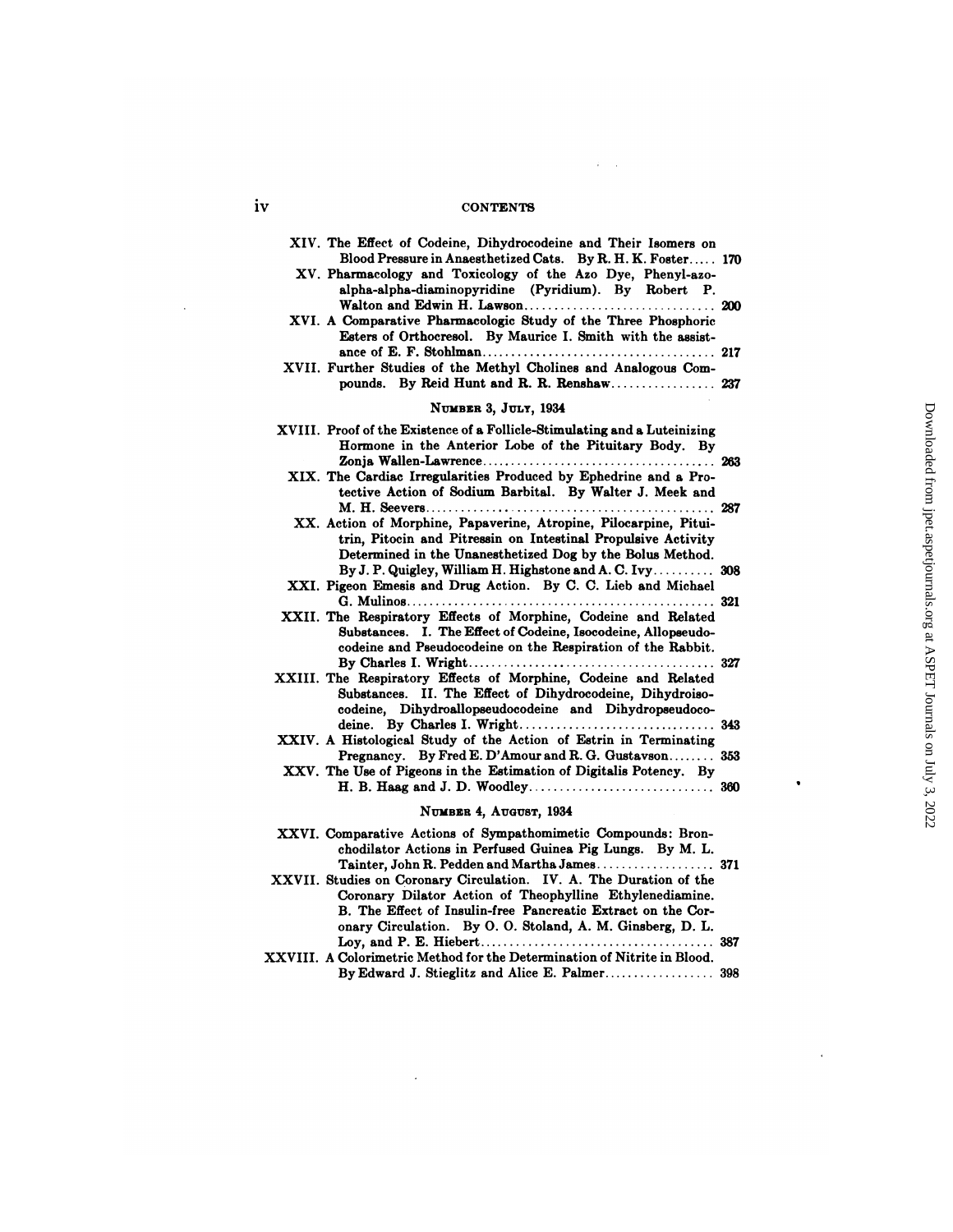#### **1V** CONTENTS

 $\sim 40-100$ 

| <b>CONTENTS</b>                                                                                                                                                                                                                                                                                             |  |
|-------------------------------------------------------------------------------------------------------------------------------------------------------------------------------------------------------------------------------------------------------------------------------------------------------------|--|
|                                                                                                                                                                                                                                                                                                             |  |
| XIV. The Effect of Codeine, Dihydrocodeine and Their Isomers on<br>Blood Pressure in Anaesthetized Cats. By R. H. K. Foster 170<br>XV. Pharmacology and Toxicology of the Azo Dye, Phenyl-azo-<br>alpha-alpha-diaminopyridine (Pyridium). By Robert P.                                                      |  |
| XVI. A Comparative Pharmacologic Study of the Three Phosphoric<br>Esters of Orthocresol. By Maurice I. Smith with the assist-                                                                                                                                                                               |  |
| XVII. Further Studies of the Methyl Cholines and Analogous Com-<br>pounds. By Reid Hunt and R. R. Renshaw 237                                                                                                                                                                                               |  |
| NUMBER 3, JULY, 1934                                                                                                                                                                                                                                                                                        |  |
| XVIII. Proof of the Existence of a Follicle-Stimulating and a Luteinizing<br>Hormone in the Anterior Lobe of the Pituitary Body. By                                                                                                                                                                         |  |
| XIX. The Cardiac Irregularities Produced by Ephedrine and a Pro-<br>tective Action of Sodium Barbital. By Walter J. Meek and                                                                                                                                                                                |  |
| XX. Action of Morphine, Papaverine, Atropine, Pilocarpine, Pitui-<br>trin, Pitocin and Pitressin on Intestinal Propulsive Activity<br>Determined in the Unanesthetized Dog by the Bolus Method.                                                                                                             |  |
| By J. P. Quigley, William H. Highstone and A. C. Ivy 308<br>XXI. Pigeon Emesis and Drug Action. By C. C. Lieb and Michael                                                                                                                                                                                   |  |
| XXII. The Respiratory Effects of Morphine, Codeine and Related<br>Substances. I. The Effect of Codeine, Isocodeine, Allopseudo-<br>codeine and Pseudocodeine on the Respiration of the Rabbit.                                                                                                              |  |
| XXIII. The Respiratory Effects of Morphine, Codeine and Related<br>Substances. II. The Effect of Dihydrocodeine, Dihydroiso-<br>codeine, Dihydroallopseudocodeine and Dihydropseudoco-                                                                                                                      |  |
| XXIV. A Histological Study of the Action of Estrin in Terminating<br>Pregnancy. By Fred E. D'Amour and R. G. Gustavson 353                                                                                                                                                                                  |  |
| XXV. The Use of Pigeons in the Estimation of Digitalis Potency. By                                                                                                                                                                                                                                          |  |
| NUMBER 4, AUGUST, 1934                                                                                                                                                                                                                                                                                      |  |
| XXVI. Comparative Actions of Sympathomimetic Compounds: Bron-<br>chodilator Actions in Perfused Guinea Pig Lungs. By M. L.                                                                                                                                                                                  |  |
| Tainter, John R. Pedden and Martha James 371<br>XXVII. Studies on Coronary Circulation. IV. A. The Duration of the<br>Coronary Dilator Action of Theophylline Ethylenediamine.<br>B. The Effect of Insulin-free Pancreatic Extract on the Cor-<br>onary Circulation. By O.O. Stoland, A. M. Ginsberg, D. L. |  |
| XXVIII. A Colorimetric Method for the Determination of Nitrite in Blood.                                                                                                                                                                                                                                    |  |

| Coronary Dilator Action of Theophylline Ethylenediamine.                 |  |
|--------------------------------------------------------------------------|--|
| B. The Effect of Insulin-free Pancreatic Extract on the Cor-             |  |
| onary Circulation. By O. O. Stoland, A. M. Ginsberg, D. L.               |  |
|                                                                          |  |
| XXVIII. A Colorimetric Method for the Determination of Nitrite in Blood. |  |
|                                                                          |  |

 $\sim 10$ 

 $\bullet$ 

 $\bar{1}$ 

 $\sim$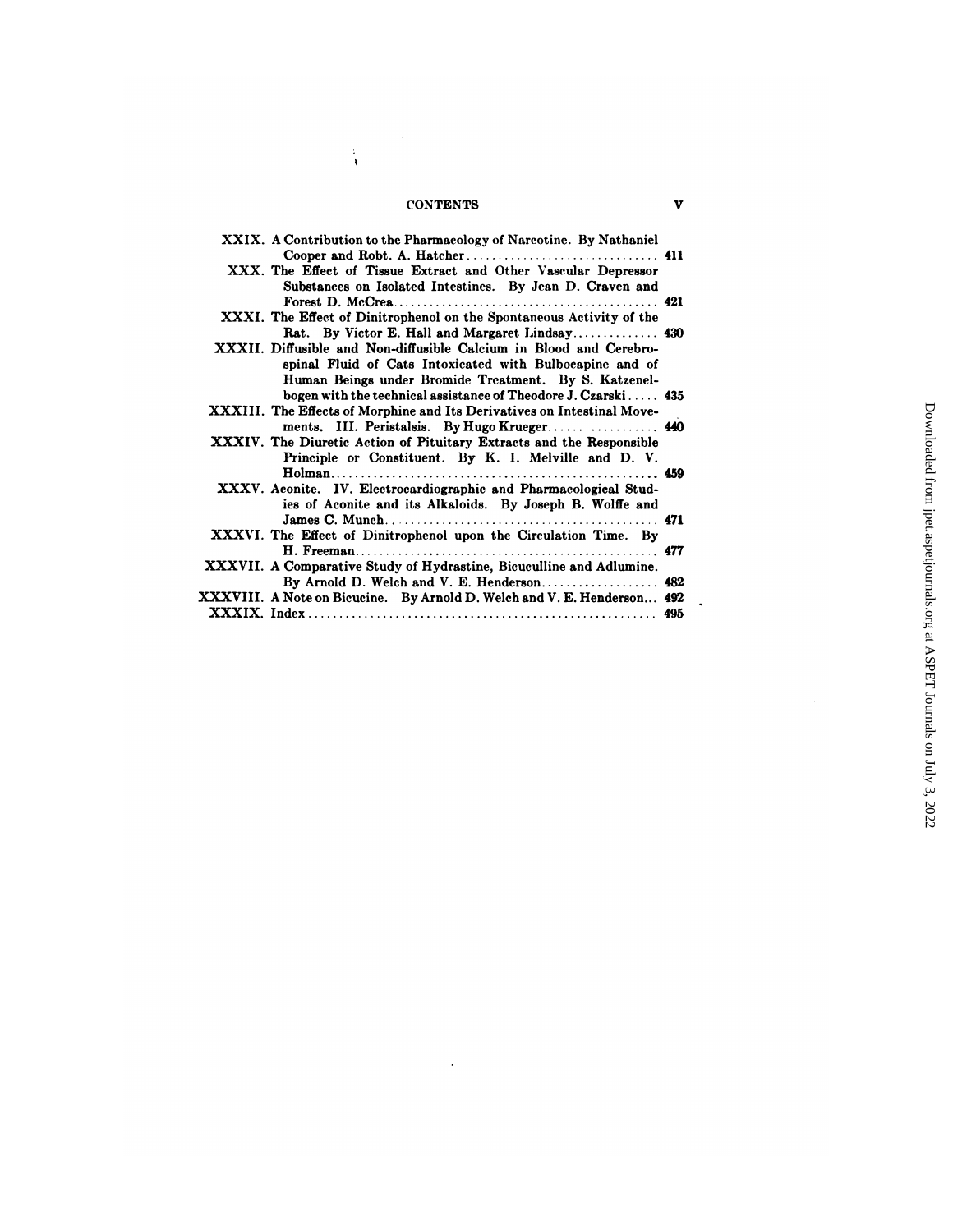## CONTENTS V

 $\hat{\boldsymbol{\cdot}$ 

 $\frac{1}{4}$ 

| <b>CONTENTS</b>                                                                                                   | v     |
|-------------------------------------------------------------------------------------------------------------------|-------|
| XXIX. A Contribution to the Pharmacology of Narcotine. By Nathaniel                                               |       |
|                                                                                                                   |       |
| XXX. The Effect of Tissue Extract and Other Vascular Depressor                                                    |       |
| Substances on Isolated Intestines. By Jean D. Craven and                                                          |       |
|                                                                                                                   |       |
| XXXI. The Effect of Dinitrophenol on the Spontaneous Activity of the                                              |       |
| Rat. By Victor E. Hall and Margaret Lindsay 430                                                                   |       |
| XXXII. Diffusible and Non-diffusible Calcium in Blood and Cerebro-                                                |       |
| spinal Fluid of Cats Intoxicated with Bulbocapine and of<br>Human Beings under Bromide Treatment. By S. Katzenel- |       |
| bogen with the technical assistance of Theodore J. Czarski $435$                                                  |       |
| XXXIII. The Effects of Morphine and Its Derivatives on Intestinal Move-                                           |       |
|                                                                                                                   |       |
| XXXIV. The Diuretic Action of Pituitary Extracts and the Responsible                                              |       |
| Principle or Constituent. By K. I. Melville and D. V.                                                             |       |
|                                                                                                                   |       |
| XXXV. Aconite. IV. Electrocardiographic and Pharmacological Stud-                                                 |       |
| ies of Aconite and its Alkaloids. By Joseph B. Wolffe and                                                         |       |
|                                                                                                                   |       |
| XXXVI. The Effect of Dinitrophenol upon the Circulation Time. By                                                  |       |
|                                                                                                                   | . 477 |
| XXXVII. A Comparative Study of Hydrastine, Bicuculline and Adlumine.                                              |       |
| By Arnold D. Welch and V. E. Henderson 482                                                                        |       |
| XXXVIII. A Note on Bicucine. By Arnold D. Welch and V. E. Henderson 492                                           |       |
|                                                                                                                   |       |

 $\sim$   $\epsilon$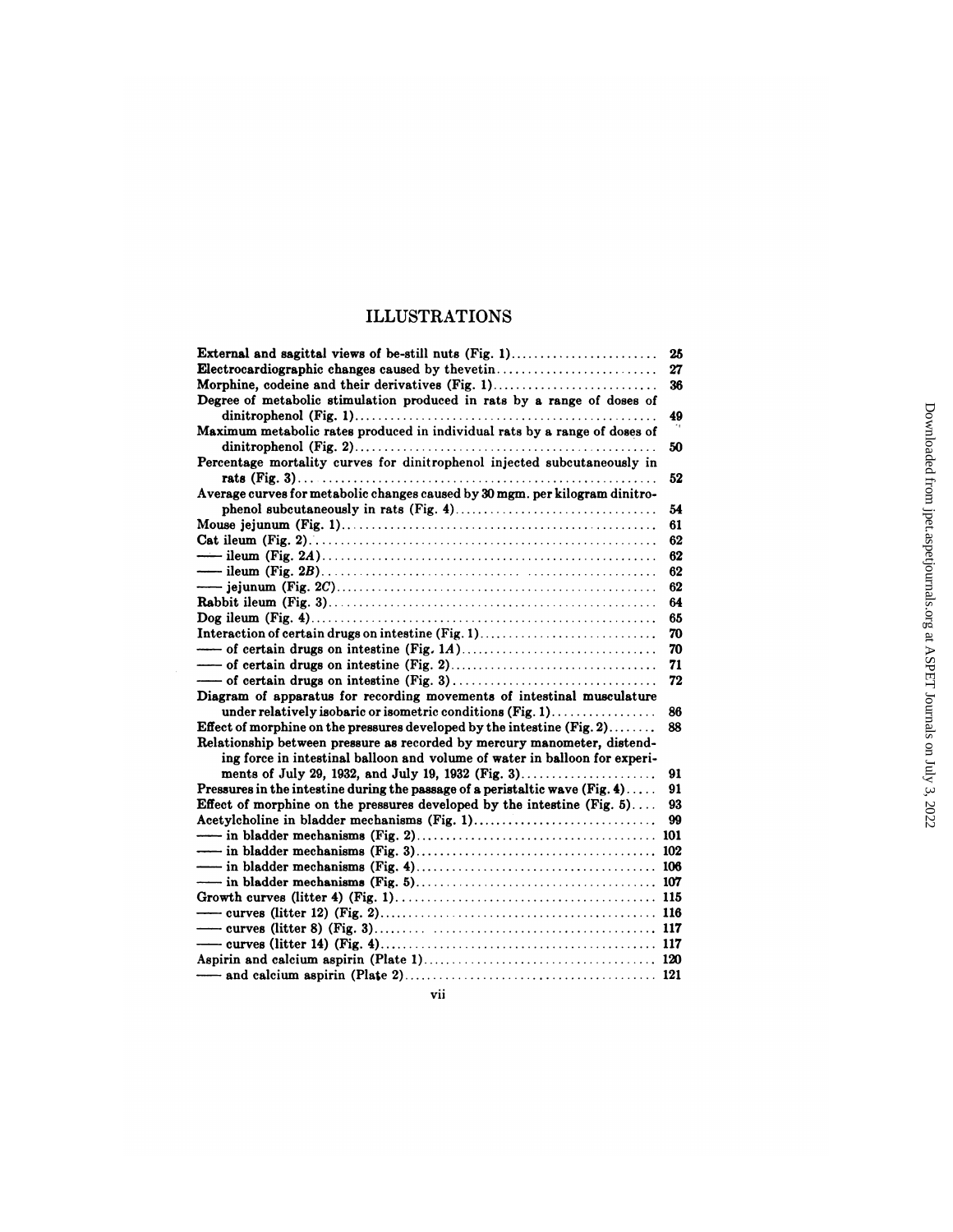# ILLUSTRATIONS

| <b>ILLUSTRATIONS</b>                                                                    |    |                                                                  |
|-----------------------------------------------------------------------------------------|----|------------------------------------------------------------------|
|                                                                                         | 25 |                                                                  |
| Electrocardiographic changes caused by thevetin                                         | 27 |                                                                  |
| Morphine, codeine and their derivatives (Fig. 1)                                        | 36 |                                                                  |
| Degree of metabolic stimulation produced in rats by a range of doses of                 |    |                                                                  |
|                                                                                         | 49 | Downloaded from jpet.aspetjournals.org at ASPET Journals on July |
| Maximum metabolic rates produced in individual rats by a range of doses of              |    |                                                                  |
|                                                                                         | 50 |                                                                  |
| Percentage mortality curves for dinitrophenol injected subcutaneously in                |    |                                                                  |
| Average curves for metabolic changes caused by 30 mgm. per kilogram dinitro-            | 52 |                                                                  |
|                                                                                         | 54 |                                                                  |
|                                                                                         | 61 |                                                                  |
|                                                                                         | 62 |                                                                  |
|                                                                                         | 62 |                                                                  |
|                                                                                         | 62 |                                                                  |
|                                                                                         | 62 |                                                                  |
|                                                                                         | 64 |                                                                  |
|                                                                                         | 65 |                                                                  |
| Interaction of certain drugs on intestine (Fig. 1)                                      | 70 |                                                                  |
|                                                                                         | 70 |                                                                  |
|                                                                                         | 71 |                                                                  |
|                                                                                         | 72 |                                                                  |
| Diagram of apparatus for recording movements of intestinal musculature                  |    |                                                                  |
| under relatively isobaric or isometric conditions (Fig. 1)                              | 86 |                                                                  |
| Effect of morphine on the pressures developed by the intestine $(Fig, 2) \ldots \ldots$ | 88 |                                                                  |
| Relationship between pressure as recorded by mercury manometer, distend-                |    |                                                                  |
| ing force in intestinal balloon and volume of water in balloon for experi-              |    |                                                                  |
| ments of July 29, 1932, and July 19, 1932 (Fig. 3)                                      | 91 |                                                                  |
| Pressures in the intestine during the passage of a peristaltic wave $(Fig. 4)$          | 91 | ني                                                               |
| Effect of morphine on the pressures developed by the intestine $(Fig. 5)$               | 93 | . 2022                                                           |
|                                                                                         | 99 |                                                                  |
|                                                                                         |    |                                                                  |
|                                                                                         |    |                                                                  |
|                                                                                         |    |                                                                  |
|                                                                                         |    |                                                                  |
|                                                                                         |    |                                                                  |
|                                                                                         |    |                                                                  |
|                                                                                         |    |                                                                  |
|                                                                                         |    |                                                                  |
|                                                                                         |    |                                                                  |
| vii                                                                                     |    |                                                                  |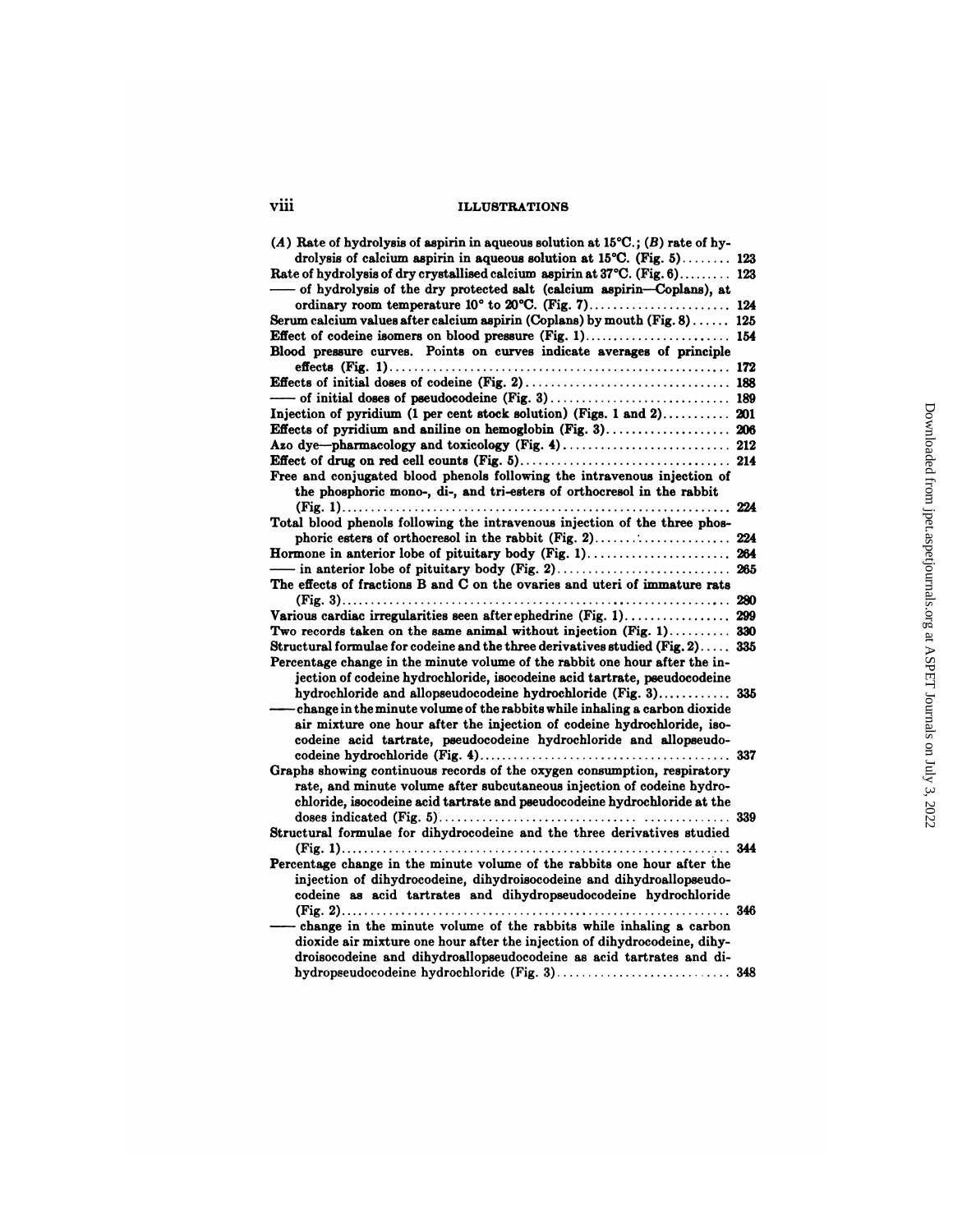| vm | <b>ILLUSTRATIONS</b> |
|----|----------------------|
|    |                      |

| viii<br><b>ILLUSTRATIONS</b>                                                                    |  |
|-------------------------------------------------------------------------------------------------|--|
| (A) Rate of hydrolysis of aspirin in aqueous solution at $15^{\circ}\text{C}$ ; (B) rate of hy- |  |
| drolysis of calcium aspirin in aqueous solution at $15^{\circ}C$ . (Fig. 5) 123                 |  |
| Rate of hydrolysis of dry crystallised calcium aspirin at 37°C. (Fig. 6) 123                    |  |
| - of hydrolysis of the dry protected salt (calcium aspirin-Coplans), at                         |  |
|                                                                                                 |  |
| Serum calcium values after calcium aspirin (Coplans) by mouth (Fig. 8) 125                      |  |
|                                                                                                 |  |
| Blood pressure curves. Points on curves indicate averages of principle                          |  |
|                                                                                                 |  |
|                                                                                                 |  |
|                                                                                                 |  |
|                                                                                                 |  |
| Injection of pyridium (1 per cent stock solution) (Figs. 1 and 2) 201                           |  |
| Effects of pyridium and aniline on hemoglobin (Fig. 3) 206                                      |  |
|                                                                                                 |  |
|                                                                                                 |  |
| Free and conjugated blood phenols following the intravenous injection of                        |  |
| the phosphoric mono-, di-, and tri-esters of orthocresol in the rabbit                          |  |
|                                                                                                 |  |
| Total blood phenols following the intravenous injection of the three phos-                      |  |
|                                                                                                 |  |
| Hormone in anterior lobe of pituitary body (Fig. 1) 264                                         |  |
|                                                                                                 |  |
| The effects of fractions B and C on the ovaries and uteri of immature rats                      |  |
|                                                                                                 |  |
|                                                                                                 |  |
| Two records taken on the same animal without injection (Fig. 1) 330                             |  |
| Structural formulae for codeine and the three derivatives studied (Fig. 2) 335                  |  |
| Percentage change in the minute volume of the rabbit one hour after the in-                     |  |
| jection of codeine hydrochloride, isocodeine acid tartrate, pseudocodeine                       |  |
|                                                                                                 |  |
| hydrochloride and allopseudocodeine hydrochloride (Fig. 3) 335                                  |  |
| -change in the minute volume of the rabbits while inhaling a carbon dioxide                     |  |
| air mixture one hour after the injection of codeine hydrochloride, iso-                         |  |
| codeine acid tartrate, pseudocodeine hydrochloride and allopseudo-                              |  |
|                                                                                                 |  |
| Graphs showing continuous records of the oxygen consumption, respiratory                        |  |
| rate, and minute volume after subcutaneous injection of codeine hydro-                          |  |
| chloride, isocodeine acid tartrate and pseudocodeine hydrochloride at the                       |  |
| . 339                                                                                           |  |
| Structural formulae for dihydrocodeine and the three derivatives studied                        |  |
|                                                                                                 |  |
| Percentage change in the minute volume of the rabbits one hour after the                        |  |
| injection of dihydrocodeine, dihydroisocodeine and dihydroallopseudo-                           |  |
| codeine as acid tartrates and dihydropseudocodeine hydrochloride                                |  |
| . 346                                                                                           |  |
| - change in the minute volume of the rabbits while inhaling a carbon                            |  |
| dioxide air mixture one hour after the injection of dihydrocodeine, dihy-                       |  |
| droisocodeine and dihydroallopseudocodeine as acid tartrates and di-                            |  |
|                                                                                                 |  |
|                                                                                                 |  |
|                                                                                                 |  |